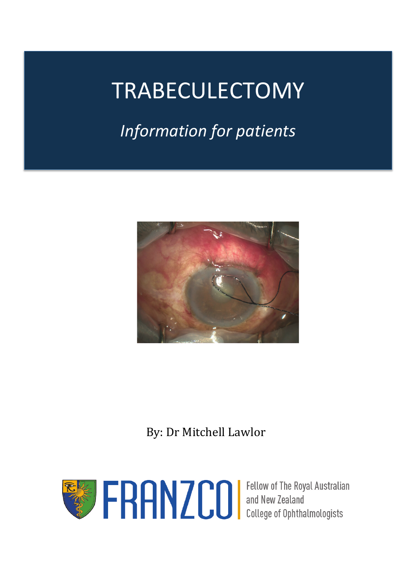# TRABECULECTOMY

# *Information for patients*



# By: Dr Mitchell Lawlor

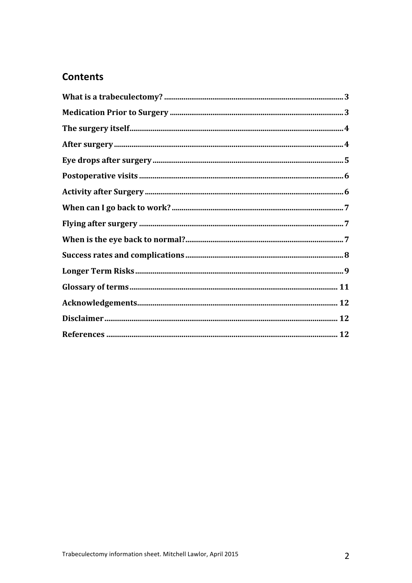# **Contents**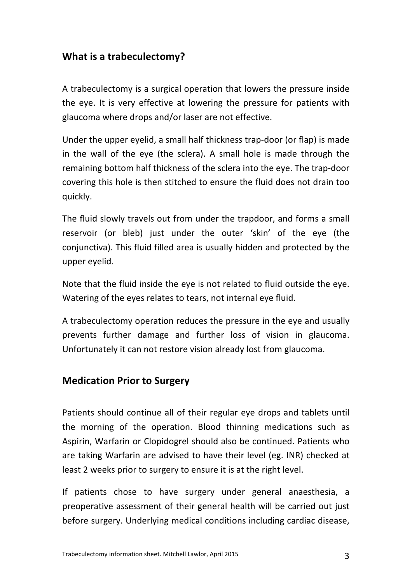# **What is a trabeculectomy?**

A trabeculectomy is a surgical operation that lowers the pressure inside the eye. It is very effective at lowering the pressure for patients with glaucoma where drops and/or laser are not effective.

Under the upper eyelid, a small half thickness trap-door (or flap) is made in the wall of the eye (the sclera). A small hole is made through the remaining bottom half thickness of the sclera into the eye. The trap-door covering this hole is then stitched to ensure the fluid does not drain too quickly.

The fluid slowly travels out from under the trapdoor, and forms a small reservoir (or bleb) just under the outer 'skin' of the eye (the conjunctiva). This fluid filled area is usually hidden and protected by the upper eyelid.

Note that the fluid inside the eye is not related to fluid outside the eye. Watering of the eyes relates to tears, not internal eye fluid.

A trabeculectomy operation reduces the pressure in the eye and usually prevents further damage and further loss of vision in glaucoma. Unfortunately it can not restore vision already lost from glaucoma.

#### **Medication Prior to Surgery**

Patients should continue all of their regular eve drops and tablets until the morning of the operation. Blood thinning medications such as Aspirin, Warfarin or Clopidogrel should also be continued. Patients who are taking Warfarin are advised to have their level (eg. INR) checked at least 2 weeks prior to surgery to ensure it is at the right level.

If patients chose to have surgery under general anaesthesia, a preoperative assessment of their general health will be carried out just before surgery. Underlying medical conditions including cardiac disease,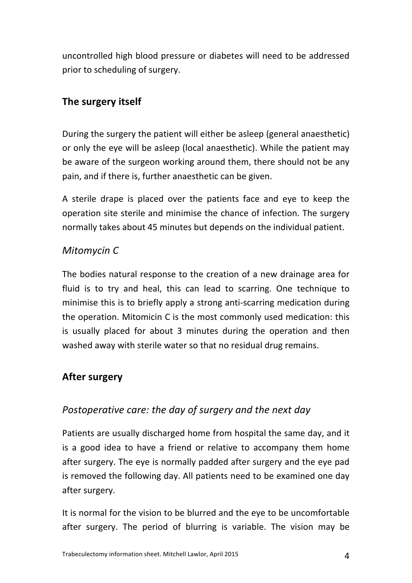uncontrolled high blood pressure or diabetes will need to be addressed prior to scheduling of surgery.

# **The surgery itself**

During the surgery the patient will either be asleep (general anaesthetic) or only the eye will be asleep (local anaesthetic). While the patient may be aware of the surgeon working around them, there should not be any pain, and if there is, further anaesthetic can be given.

A sterile drape is placed over the patients face and eye to keep the operation site sterile and minimise the chance of infection. The surgery normally takes about 45 minutes but depends on the individual patient.

# *Mitomycin C*

The bodies natural response to the creation of a new drainage area for fluid is to try and heal, this can lead to scarring. One technique to minimise this is to briefly apply a strong anti-scarring medication during the operation. Mitomicin C is the most commonly used medication: this is usually placed for about 3 minutes during the operation and then washed away with sterile water so that no residual drug remains.

# **After surgery**

# *Postoperative care: the day of surgery and the next day*

Patients are usually discharged home from hospital the same day, and it is a good idea to have a friend or relative to accompany them home after surgery. The eye is normally padded after surgery and the eye pad is removed the following day. All patients need to be examined one day after surgery.

It is normal for the vision to be blurred and the eye to be uncomfortable after surgery. The period of blurring is variable. The vision may be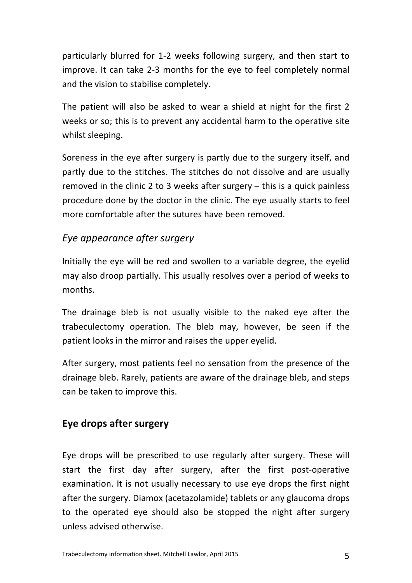particularly blurred for 1-2 weeks following surgery, and then start to improve. It can take 2-3 months for the eye to feel completely normal and the vision to stabilise completely.

The patient will also be asked to wear a shield at night for the first 2 weeks or so; this is to prevent any accidental harm to the operative site whilst sleeping.

Soreness in the eye after surgery is partly due to the surgery itself, and partly due to the stitches. The stitches do not dissolve and are usually removed in the clinic 2 to 3 weeks after surgery  $-$  this is a quick painless procedure done by the doctor in the clinic. The eye usually starts to feel more comfortable after the sutures have been removed.

#### *Eye appearance after surgery*

Initially the eye will be red and swollen to a variable degree, the eyelid may also droop partially. This usually resolves over a period of weeks to months.

The drainage bleb is not usually visible to the naked eye after the trabeculectomy operation. The bleb may, however, be seen if the patient looks in the mirror and raises the upper eyelid.

After surgery, most patients feel no sensation from the presence of the drainage bleb. Rarely, patients are aware of the drainage bleb, and steps can be taken to improve this.

#### **Eye drops after surgery**

Eye drops will be prescribed to use regularly after surgery. These will start the first day after surgery, after the first post-operative examination. It is not usually necessary to use eye drops the first night after the surgery. Diamox (acetazolamide) tablets or any glaucoma drops to the operated eye should also be stopped the night after surgery unless advised otherwise.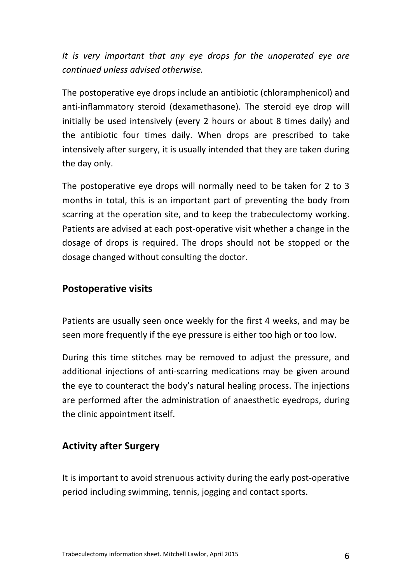It is very important that any eye drops for the unoperated eye are *continued unless advised otherwise.* 

The postoperative eye drops include an antibiotic (chloramphenicol) and anti-inflammatory steroid (dexamethasone). The steroid eye drop will initially be used intensively (every 2 hours or about 8 times daily) and the antibiotic four times daily. When drops are prescribed to take intensively after surgery, it is usually intended that they are taken during the day only.

The postoperative eye drops will normally need to be taken for 2 to 3 months in total, this is an important part of preventing the body from scarring at the operation site, and to keep the trabeculectomy working. Patients are advised at each post-operative visit whether a change in the dosage of drops is required. The drops should not be stopped or the dosage changed without consulting the doctor.

#### **Postoperative visits**

Patients are usually seen once weekly for the first 4 weeks, and may be seen more frequently if the eye pressure is either too high or too low.

During this time stitches may be removed to adjust the pressure, and additional injections of anti-scarring medications may be given around the eye to counteract the body's natural healing process. The injections are performed after the administration of anaesthetic evedrops, during the clinic appointment itself.

# **Activity after Surgery**

It is important to avoid strenuous activity during the early post-operative period including swimming, tennis, jogging and contact sports.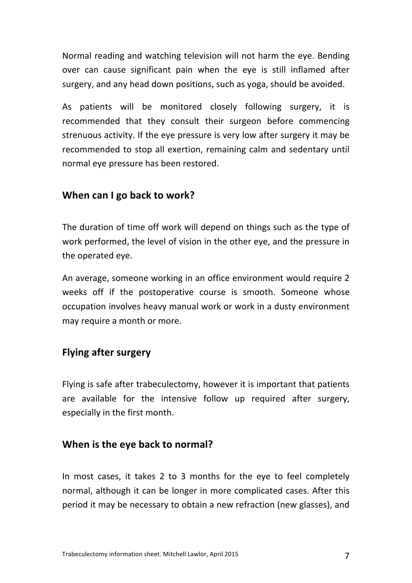Normal reading and watching television will not harm the eye. Bending over can cause significant pain when the eye is still inflamed after surgery, and any head down positions, such as yoga, should be avoided.

As patients will be monitored closely following surgery, it is recommended that they consult their surgeon before commencing strenuous activity. If the eye pressure is very low after surgery it may be recommended to stop all exertion, remaining calm and sedentary until normal eye pressure has been restored.

#### **When can I go back to work?**

The duration of time off work will depend on things such as the type of work performed, the level of vision in the other eye, and the pressure in the operated eye.

An average, someone working in an office environment would require 2 weeks off if the postoperative course is smooth. Someone whose occupation involves heavy manual work or work in a dusty environment may require a month or more.

#### **Flying after surgery**

Flying is safe after trabeculectomy, however it is important that patients are available for the intensive follow up required after surgery, especially in the first month.

#### **When is the eye back to normal?**

In most cases, it takes 2 to 3 months for the eye to feel completely normal, although it can be longer in more complicated cases. After this period it may be necessary to obtain a new refraction (new glasses), and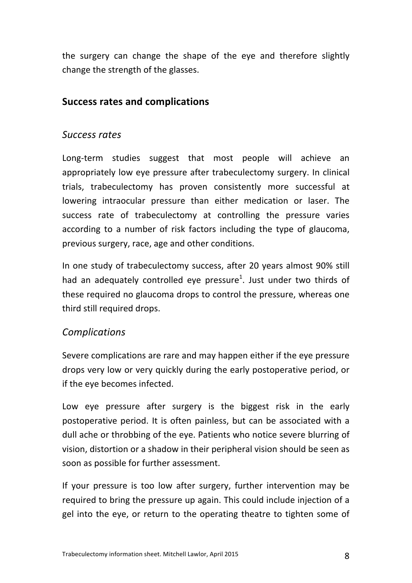the surgery can change the shape of the eye and therefore slightly change the strength of the glasses.

#### **Success rates and complications**

#### *Success rates*

Long-term studies suggest that most people will achieve an appropriately low eye pressure after trabeculectomy surgery. In clinical trials, trabeculectomy has proven consistently more successful at lowering intraocular pressure than either medication or laser. The success rate of trabeculectomy at controlling the pressure varies according to a number of risk factors including the type of glaucoma, previous surgery, race, age and other conditions.

In one study of trabeculectomy success, after 20 years almost 90% still had an adequately controlled eye pressure<sup>1</sup>. Just under two thirds of these required no glaucoma drops to control the pressure, whereas one third still required drops.

# *Complications*

Severe complications are rare and may happen either if the eye pressure drops very low or very quickly during the early postoperative period, or if the eye becomes infected.

Low eye pressure after surgery is the biggest risk in the early postoperative period. It is often painless, but can be associated with a dull ache or throbbing of the eye. Patients who notice severe blurring of vision, distortion or a shadow in their peripheral vision should be seen as soon as possible for further assessment.

If your pressure is too low after surgery, further intervention may be required to bring the pressure up again. This could include injection of a gel into the eye, or return to the operating theatre to tighten some of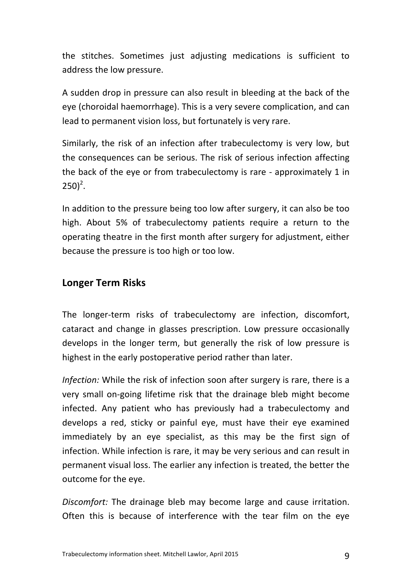the stitches. Sometimes just adjusting medications is sufficient to address the low pressure.

A sudden drop in pressure can also result in bleeding at the back of the eye (choroidal haemorrhage). This is a very severe complication, and can lead to permanent vision loss, but fortunately is very rare.

Similarly, the risk of an infection after trabeculectomy is very low, but the consequences can be serious. The risk of serious infection affecting the back of the eye or from trabeculectomy is rare - approximately 1 in  $250)^2$ .

In addition to the pressure being too low after surgery, it can also be too high. About 5% of trabeculectomy patients require a return to the operating theatre in the first month after surgery for adjustment, either because the pressure is too high or too low.

#### **Longer Term Risks**

The longer-term risks of trabeculectomy are infection, discomfort, cataract and change in glasses prescription. Low pressure occasionally develops in the longer term, but generally the risk of low pressure is highest in the early postoperative period rather than later.

*Infection:* While the risk of infection soon after surgery is rare, there is a very small on-going lifetime risk that the drainage bleb might become infected. Any patient who has previously had a trabeculectomy and develops a red, sticky or painful eye, must have their eye examined immediately by an eye specialist, as this may be the first sign of infection. While infection is rare, it may be very serious and can result in permanent visual loss. The earlier any infection is treated, the better the outcome for the eye.

*Discomfort:* The drainage bleb may become large and cause irritation. Often this is because of interference with the tear film on the eye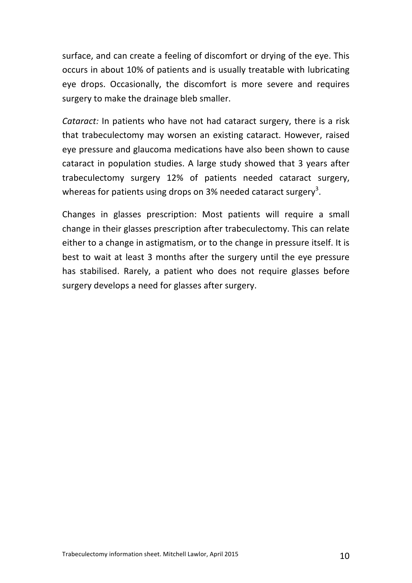surface, and can create a feeling of discomfort or drying of the eye. This occurs in about 10% of patients and is usually treatable with lubricating eye drops. Occasionally, the discomfort is more severe and requires surgery to make the drainage bleb smaller.

*Cataract:* In patients who have not had cataract surgery, there is a risk that trabeculectomy may worsen an existing cataract. However, raised eye pressure and glaucoma medications have also been shown to cause cataract in population studies. A large study showed that 3 years after trabeculectomy surgery 12% of patients needed cataract surgery, whereas for patients using drops on 3% needed cataract surgery<sup>3</sup>.

Changes in glasses prescription: Most patients will require a small change in their glasses prescription after trabeculectomy. This can relate either to a change in astigmatism, or to the change in pressure itself. It is best to wait at least 3 months after the surgery until the eye pressure has stabilised. Rarely, a patient who does not require glasses before surgery develops a need for glasses after surgery.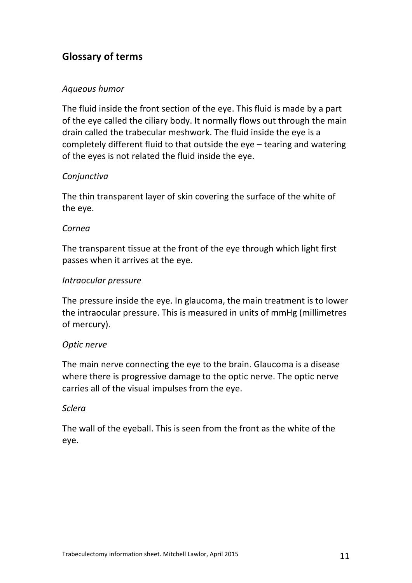# **Glossary of terms**

#### *Aqueous humor*

The fluid inside the front section of the eye. This fluid is made by a part of the eye called the ciliary body. It normally flows out through the main drain called the trabecular meshwork. The fluid inside the eye is a completely different fluid to that outside the  $eye$  – tearing and watering of the eyes is not related the fluid inside the eye.

#### *Conjunctiva*

The thin transparent layer of skin covering the surface of the white of the eve.

#### *Cornea*

The transparent tissue at the front of the eye through which light first passes when it arrives at the eye.

#### *Intraocular pressure*

The pressure inside the eye. In glaucoma, the main treatment is to lower the intraocular pressure. This is measured in units of mmHg (millimetres of mercury).

#### *Optic nerve*

The main nerve connecting the eye to the brain. Glaucoma is a disease where there is progressive damage to the optic nerve. The optic nerve carries all of the visual impulses from the eye.

#### *Sclera*

The wall of the eveball. This is seen from the front as the white of the eye.